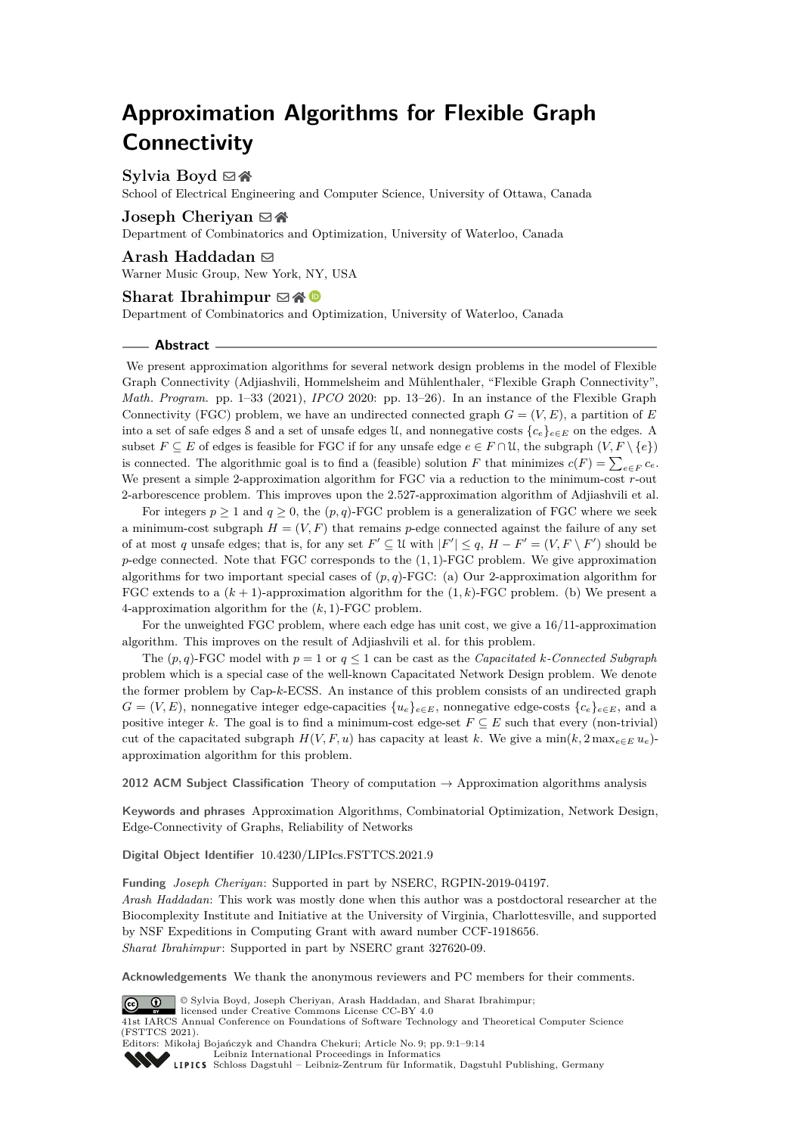# **Approximation Algorithms for Flexible Graph Connectivity**

## **Sylvia Boyd** ⊠ **n**

School of Electrical Engineering and Computer Science, University of Ottawa, Canada

## **Joseph Cheriyan** ⊠ A

Department of Combinatorics and Optimization, University of Waterloo, Canada

**Arash Haddadan** ⊠ Warner Music Group, New York, NY, USA

#### **Sharat Ibrahimpur**  $\boxtimes \bigotimes$

Department of Combinatorics and Optimization, University of Waterloo, Canada

#### **Abstract**

We present approximation algorithms for several network design problems in the model of Flexible Graph Connectivity (Adjiashvili, Hommelsheim and Mühlenthaler, "Flexible Graph Connectivity", *Math. Program.* pp. 1–33 (2021), *IPCO* 2020: pp. 13–26). In an instance of the Flexible Graph Connectivity (FGC) problem, we have an undirected connected graph  $G = (V, E)$ , a partition of *E* into a set of safe edges S and a set of unsafe edges U, and nonnegative costs  ${c_e}_{e \in E}$  on the edges. A subset  $F \subseteq E$  of edges is feasible for FGC if for any unsafe edge  $e \in F \cap \mathcal{U}$ , the subgraph  $(V, F \setminus \{e\})$ is connected. The algorithmic goal is to find a (feasible) solution *F* that minimizes  $c(F) = \sum_{e \in F} c_e$ . We present a simple 2-approximation algorithm for FGC via a reduction to the minimum-cost *r*-out 2-arborescence problem. This improves upon the 2*.*527-approximation algorithm of Adjiashvili et al.

For integers  $p \ge 1$  and  $q \ge 0$ , the  $(p, q)$ -FGC problem is a generalization of FGC where we seek a minimum-cost subgraph  $H = (V, F)$  that remains *p*-edge connected against the failure of any set of at most *q* unsafe edges; that is, for any set  $F' \subseteq \mathcal{U}$  with  $|F'| \leq q$ ,  $H - F' = (V, F \setminus F')$  should be *p*-edge connected. Note that FGC corresponds to the (1*,* 1)-FGC problem. We give approximation algorithms for two important special cases of (*p, q*)-FGC: (a) Our 2-approximation algorithm for FGC extends to a  $(k + 1)$ -approximation algorithm for the  $(1, k)$ -FGC problem. (b) We present a 4-approximation algorithm for the (*k,* 1)-FGC problem.

For the unweighted FGC problem, where each edge has unit cost, we give a 16*/*11-approximation algorithm. This improves on the result of Adjiashvili et al. for this problem.

The  $(p, q)$ -FGC model with  $p = 1$  or  $q \leq 1$  can be cast as the *Capacitated k*-Connected Subgraph problem which is a special case of the well-known Capacitated Network Design problem. We denote the former problem by Cap-*k*-ECSS. An instance of this problem consists of an undirected graph  $G = (V, E)$ , nonnegative integer edge-capacities  $\{u_e\}_{e \in E}$ , nonnegative edge-costs  $\{c_e\}_{e \in E}$ , and a positive integer *k*. The goal is to find a minimum-cost edge-set  $F \subseteq E$  such that every (non-trivial) cut of the capacitated subgraph  $H(V, F, u)$  has capacity at least k. We give a min $(k, 2 \max_{e \in E} u_e)$ approximation algorithm for this problem.

**2012 ACM Subject Classification** Theory of computation → Approximation algorithms analysis

**Keywords and phrases** Approximation Algorithms, Combinatorial Optimization, Network Design, Edge-Connectivity of Graphs, Reliability of Networks

**Digital Object Identifier** [10.4230/LIPIcs.FSTTCS.2021.9](https://doi.org/10.4230/LIPIcs.FSTTCS.2021.9)

**Funding** *Joseph Cheriyan*: Supported in part by NSERC, RGPIN-2019-04197. *Arash Haddadan*: This work was mostly done when this author was a postdoctoral researcher at the Biocomplexity Institute and Initiative at the University of Virginia, Charlottesville, and supported by NSF Expeditions in Computing Grant with award number CCF-1918656. *Sharat Ibrahimpur*: Supported in part by NSERC grant 327620-09.

**Acknowledgements** We thank the anonymous reviewers and PC members for their comments.



© Sylvia Boyd, Joseph Cheriyan, Arash Haddadan, and Sharat Ibrahimpur; licensed under Creative Commons License CC-BY 4.0 41st IARCS Annual Conference on Foundations of Software Technology and Theoretical Computer Science (FSTTCS 2021).

Editors: Mikołaj Bojańczyk and Chandra Chekuri; Article No. 9; pp. 9:1–9:14



[Leibniz International Proceedings in Informatics](https://www.dagstuhl.de/lipics/)

[Schloss Dagstuhl – Leibniz-Zentrum für Informatik, Dagstuhl Publishing, Germany](https://www.dagstuhl.de)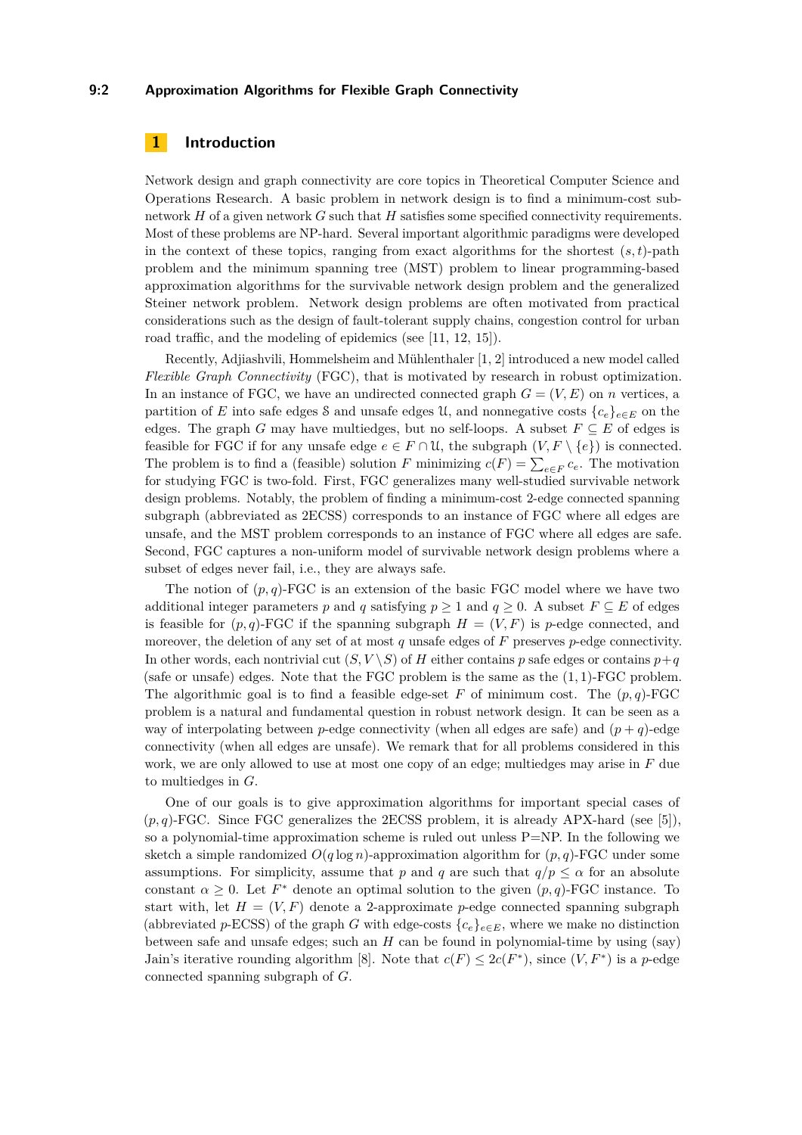## **9:2 Approximation Algorithms for Flexible Graph Connectivity**

## **1 Introduction**

Network design and graph connectivity are core topics in Theoretical Computer Science and Operations Research. A basic problem in network design is to find a minimum-cost subnetwork *H* of a given network *G* such that *H* satisfies some specified connectivity requirements. Most of these problems are NP-hard. Several important algorithmic paradigms were developed in the context of these topics, ranging from exact algorithms for the shortest  $(s, t)$ -path problem and the minimum spanning tree (MST) problem to linear programming-based approximation algorithms for the survivable network design problem and the generalized Steiner network problem. Network design problems are often motivated from practical considerations such as the design of fault-tolerant supply chains, congestion control for urban road traffic, and the modeling of epidemics (see [\[11,](#page-13-0) [12,](#page-13-1) [15\]](#page-13-2)).

Recently, Adjiashvili, Hommelsheim and Mühlenthaler [\[1,](#page-12-0) [2\]](#page-12-1) introduced a new model called *Flexible Graph Connectivity* (FGC), that is motivated by research in robust optimization. In an instance of FGC, we have an undirected connected graph  $G = (V, E)$  on *n* vertices, a partition of *E* into safe edges S and unsafe edges U, and nonnegative costs  ${c_e}_{e \in E}$  on the edges. The graph *G* may have multiedges, but no self-loops. A subset  $F \subseteq E$  of edges is feasible for FGC if for any unsafe edge  $e \in F \cap \mathcal{U}$ , the subgraph  $(V, F \setminus \{e\})$  is connected. The problem is to find a (feasible) solution *F* minimizing  $c(F) = \sum_{e \in F} c_e$ . The motivation for studying FGC is two-fold. First, FGC generalizes many well-studied survivable network design problems. Notably, the problem of finding a minimum-cost 2-edge connected spanning subgraph (abbreviated as 2ECSS) corresponds to an instance of FGC where all edges are unsafe, and the MST problem corresponds to an instance of FGC where all edges are safe. Second, FGC captures a non-uniform model of survivable network design problems where a subset of edges never fail, i.e., they are always safe.

The notion of  $(p, q)$ -FGC is an extension of the basic FGC model where we have two additional integer parameters *p* and *q* satisfying  $p \ge 1$  and  $q \ge 0$ . A subset  $F \subseteq E$  of edges is feasible for  $(p, q)$ -FGC if the spanning subgraph  $H = (V, F)$  is *p*-edge connected, and moreover, the deletion of any set of at most *q* unsafe edges of *F* preserves *p*-edge connectivity. In other words, each nontrivial cut  $(S, V \setminus S)$  of *H* either contains *p* safe edges or contains  $p+q$ (safe or unsafe) edges. Note that the FGC problem is the same as the (1*,* 1)-FGC problem. The algorithmic goal is to find a feasible edge-set  $F$  of minimum cost. The  $(p, q)$ -FGC problem is a natural and fundamental question in robust network design. It can be seen as a way of interpolating between *p*-edge connectivity (when all edges are safe) and  $(p+q)$ -edge connectivity (when all edges are unsafe). We remark that for all problems considered in this work, we are only allowed to use at most one copy of an edge; multiedges may arise in *F* due to multiedges in *G*.

One of our goals is to give approximation algorithms for important special cases of  $(p,q)$ -FGC. Since FGC generalizes the 2ECSS problem, it is already APX-hard (see [\[5\]](#page-13-3)), so a polynomial-time approximation scheme is ruled out unless  $P=NP$ . In the following we sketch a simple randomized  $O(q \log n)$ -approximation algorithm for  $(p, q)$ -FGC under some assumptions. For simplicity, assume that *p* and *q* are such that  $q/p \leq \alpha$  for an absolute constant  $\alpha \geq 0$ . Let  $F^*$  denote an optimal solution to the given  $(p, q)$ -FGC instance. To start with, let  $H = (V, F)$  denote a 2-approximate *p*-edge connected spanning subgraph (abbreviated *p*-ECSS) of the graph *G* with edge-costs  ${c_e}_{e \in E}$ , where we make no distinction between safe and unsafe edges; such an *H* can be found in polynomial-time by using (say) Jain's iterative rounding algorithm [\[8\]](#page-13-4). Note that  $c(F) \leq 2c(F^*)$ , since  $(V, F^*)$  is a *p*-edge connected spanning subgraph of *G*.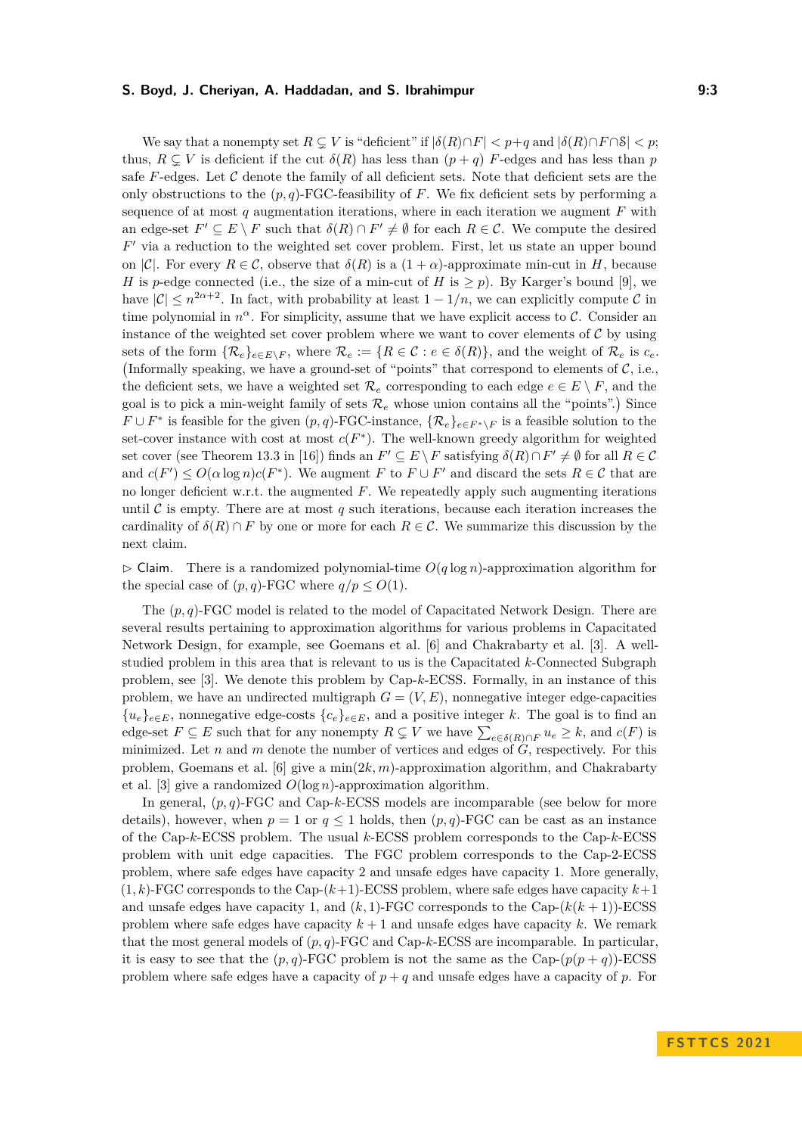We say that a nonempty set  $R \subseteq V$  is "deficient" if  $|\delta(R) \cap F| < p+q$  and  $|\delta(R) \cap F \cap S| < p$ ; thus,  $R \subseteq V$  is deficient if the cut  $\delta(R)$  has less than  $(p+q)$  *F*-edges and has less than *p* safe  $F$ -edges. Let  $C$  denote the family of all deficient sets. Note that deficient sets are the only obstructions to the  $(p, q)$ -FGC-feasibility of F. We fix deficient sets by performing a sequence of at most  $q$  augmentation iterations, where in each iteration we augment  $F$  with an edge-set  $F' \subseteq E \setminus F$  such that  $\delta(R) \cap F' \neq \emptyset$  for each  $R \in \mathcal{C}$ . We compute the desired *F* ′ via a reduction to the weighted set cover problem. First, let us state an upper bound on  $|\mathcal{C}|$ . For every  $R \in \mathcal{C}$ , observe that  $\delta(R)$  is a  $(1+\alpha)$ -approximate min-cut in *H*, because *H* is *p*-edge connected (i.e., the size of a min-cut of *H* is  $\geq p$ ). By Karger's bound [\[9\]](#page-13-5), we have  $|\mathcal{C}| \leq n^{2\alpha+2}$ . In fact, with probability at least  $1 - 1/n$ , we can explicitly compute  $\mathcal{C}$  in time polynomial in  $n^{\alpha}$ . For simplicity, assume that we have explicit access to C. Consider an instance of the weighted set cover problem where we want to cover elements of  $C$  by using sets of the form  $\{\mathcal{R}_e\}_{e \in E \setminus F}$ , where  $\mathcal{R}_e := \{R \in \mathcal{C} : e \in \delta(R)\}\)$ , and the weight of  $\mathcal{R}_e$  is  $c_e$ . (Informally speaking, we have a ground-set of "points" that correspond to elements of  $C$ , i.e., the deficient sets, we have a weighted set  $\mathcal{R}_e$  corresponding to each edge  $e \in E \setminus F$ , and the goal is to pick a min-weight family of sets  $\mathcal{R}_e$  whose union contains all the "points".) Since *F* ∪ *F*<sup>\*</sup> is feasible for the given  $(p, q)$ -FGC-instance,  $\{R_e\}_{e \in F^* \setminus F}$  is a feasible solution to the set-cover instance with cost at most  $c(F^*)$ . The well-known greedy algorithm for weighted set cover (see Theorem 13.3 in [\[16\]](#page-13-6)) finds an  $F' \subseteq E \setminus F$  satisfying  $\delta(R) \cap F' \neq \emptyset$  for all  $R \in \mathcal{C}$ and  $c(F') \leq O(\alpha \log n) c(F^*)$ . We augment *F* to  $F \cup F'$  and discard the sets  $R \in \mathcal{C}$  that are no longer deficient w.r.t. the augmented *F*. We repeatedly apply such augmenting iterations until  $\mathcal C$  is empty. There are at most  $q$  such iterations, because each iteration increases the cardinality of  $\delta(R) \cap F$  by one or more for each  $R \in \mathcal{C}$ . We summarize this discussion by the next claim.

 $\triangleright$  Claim. There is a randomized polynomial-time  $O(q \log n)$ -approximation algorithm for the special case of  $(p, q)$ -FGC where  $q/p \leq O(1)$ .

The (*p, q*)-FGC model is related to the model of Capacitated Network Design. There are several results pertaining to approximation algorithms for various problems in Capacitated Network Design, for example, see Goemans et al. [\[6\]](#page-13-7) and Chakrabarty et al. [\[3\]](#page-12-2). A wellstudied problem in this area that is relevant to us is the Capacitated *k*-Connected Subgraph problem, see [\[3\]](#page-12-2). We denote this problem by Cap-*k*-ECSS. Formally, in an instance of this problem, we have an undirected multigraph  $G = (V, E)$ , nonnegative integer edge-capacities  ${u_e}_{e \in E}$ , nonnegative edge-costs  ${c_e}_{e \in E}$ , and a positive integer *k*. The goal is to find an edge-set  $F \subseteq E$  such that for any nonempty  $R \subsetneq V$  we have  $\sum_{e \in \delta(R) \cap F} u_e \geq k$ , and  $c(F)$  is minimized. Let *n* and *m* denote the number of vertices and edges of *G*, respectively. For this problem, Goemans et al. [\[6\]](#page-13-7) give a min(2*k, m*)-approximation algorithm, and Chakrabarty et al. [\[3\]](#page-12-2) give a randomized *O*(log *n*)-approximation algorithm.

In general, (*p, q*)-FGC and Cap-*k*-ECSS models are incomparable (see below for more details), however, when  $p = 1$  or  $q \le 1$  holds, then  $(p, q)$ -FGC can be cast as an instance of the Cap-*k*-ECSS problem. The usual *k*-ECSS problem corresponds to the Cap-*k*-ECSS problem with unit edge capacities. The FGC problem corresponds to the Cap-2-ECSS problem, where safe edges have capacity 2 and unsafe edges have capacity 1. More generally,  $(1, k)$ -FGC corresponds to the Cap- $(k+1)$ -ECSS problem, where safe edges have capacity  $k+1$ and unsafe edges have capacity 1, and  $(k, 1)$ -FGC corresponds to the Cap- $(k(k + 1))$ -ECSS problem where safe edges have capacity  $k + 1$  and unsafe edges have capacity  $k$ . We remark that the most general models of (*p, q*)-FGC and Cap-*k*-ECSS are incomparable. In particular, it is easy to see that the  $(p, q)$ -FGC problem is not the same as the Cap- $(p(p + q))$ -ECSS problem where safe edges have a capacity of  $p + q$  and unsafe edges have a capacity of  $p$ . For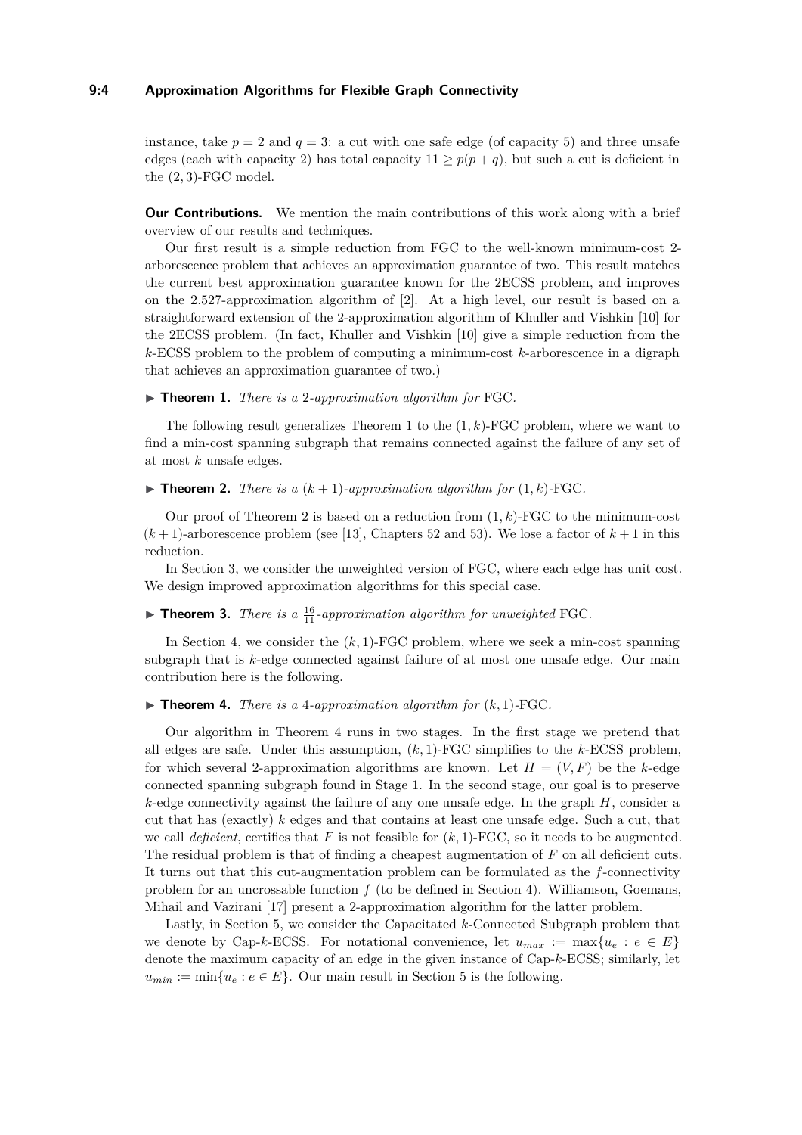## **9:4 Approximation Algorithms for Flexible Graph Connectivity**

instance, take  $p = 2$  and  $q = 3$ : a cut with one safe edge (of capacity 5) and three unsafe edges (each with capacity 2) has total capacity  $11 \geq p(p+q)$ , but such a cut is deficient in the (2*,* 3)-FGC model.

**Our Contributions.** We mention the main contributions of this work along with a brief overview of our results and techniques.

Our first result is a simple reduction from FGC to the well-known minimum-cost 2 arborescence problem that achieves an approximation guarantee of two. This result matches the current best approximation guarantee known for the 2ECSS problem, and improves on the 2*.*527-approximation algorithm of [\[2\]](#page-12-1). At a high level, our result is based on a straightforward extension of the 2-approximation algorithm of Khuller and Vishkin [\[10\]](#page-13-8) for the 2ECSS problem. (In fact, Khuller and Vishkin [\[10\]](#page-13-8) give a simple reduction from the *k*-ECSS problem to the problem of computing a minimum-cost *k*-arborescence in a digraph that achieves an approximation guarantee of two.)

<span id="page-3-0"></span>▶ **Theorem 1.** *There is a* 2*-approximation algorithm for* FGC*.*

The following result generalizes Theorem [1](#page-3-0) to the (1*, k*)-FGC problem, where we want to find a min-cost spanning subgraph that remains connected against the failure of any set of at most *k* unsafe edges.

<span id="page-3-1"></span> $\blacktriangleright$  **Theorem 2.** *There is a*  $(k+1)$ *-approximation algorithm for*  $(1, k)$ *-FGC.* 

Our proof of Theorem [2](#page-3-1) is based on a reduction from  $(1, k)$ -FGC to the minimum-cost  $(k+1)$ -arborescence problem (see [\[13\]](#page-13-9), Chapters 52 and 53). We lose a factor of  $k+1$  in this reduction.

In Section [3,](#page-6-0) we consider the unweighted version of FGC, where each edge has unit cost. We design improved approximation algorithms for this special case.

## <span id="page-3-3"></span> $\blacktriangleright$  **Theorem 3.** *There is a*  $\frac{16}{11}$ *-approximation algorithm for unweighted* FGC.

In Section [4,](#page-9-0) we consider the  $(k, 1)$ -FGC problem, where we seek a min-cost spanning subgraph that is *k*-edge connected against failure of at most one unsafe edge. Our main contribution here is the following.

<span id="page-3-2"></span> $\blacktriangleright$  **Theorem 4.** *There is a 4-approximation algorithm for*  $(k, 1)$ -FGC.

Our algorithm in Theorem [4](#page-3-2) runs in two stages. In the first stage we pretend that all edges are safe. Under this assumption, (*k,* 1)-FGC simplifies to the *k*-ECSS problem, for which several 2-approximation algorithms are known. Let  $H = (V, F)$  be the *k*-edge connected spanning subgraph found in Stage 1. In the second stage, our goal is to preserve *k*-edge connectivity against the failure of any one unsafe edge. In the graph *H*, consider a cut that has (exactly) *k* edges and that contains at least one unsafe edge. Such a cut, that we call *deficient*, certifies that  $F$  is not feasible for  $(k, 1)$ -FGC, so it needs to be augmented. The residual problem is that of finding a cheapest augmentation of *F* on all deficient cuts. It turns out that this cut-augmentation problem can be formulated as the *f*-connectivity problem for an uncrossable function  $f$  (to be defined in Section [4\)](#page-9-0). Williamson, Goemans, Mihail and Vazirani [\[17\]](#page-13-10) present a 2-approximation algorithm for the latter problem.

Lastly, in Section [5,](#page-11-0) we consider the Capacitated *k*-Connected Subgraph problem that we denote by Cap-*k*-ECSS. For notational convenience, let  $u_{max} := \max\{u_e : e \in E\}$ denote the maximum capacity of an edge in the given instance of Cap-*k*-ECSS; similarly, let  $u_{min} := \min\{u_e : e \in E\}$ . Our main result in Section [5](#page-11-0) is the following.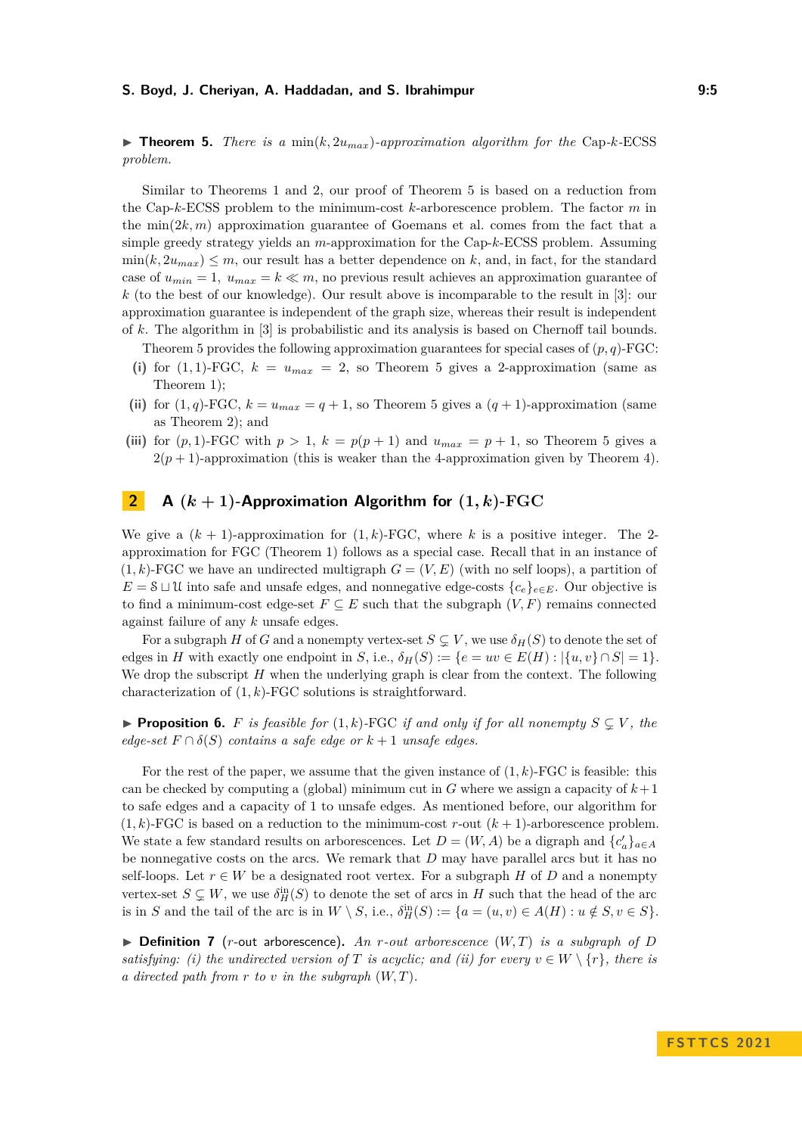<span id="page-4-0"></span> $\triangleright$  **Theorem 5.** *There is a* min $(k, 2u_{max})$ *-approximation algorithm for the* Cap-*k*-ECSS *problem.*

Similar to Theorems [1](#page-3-0) and [2,](#page-3-1) our proof of Theorem [5](#page-4-0) is based on a reduction from the Cap-*k*-ECSS problem to the minimum-cost *k*-arborescence problem. The factor *m* in the  $\min(2k, m)$  approximation guarantee of Goemans et al. comes from the fact that a simple greedy strategy yields an *m*-approximation for the Cap-*k*-ECSS problem. Assuming  $\min(k, 2u_{max}) \le m$ , our result has a better dependence on k, and, in fact, for the standard case of  $u_{min} = 1$ ,  $u_{max} = k \ll m$ , no previous result achieves an approximation guarantee of *k* (to the best of our knowledge). Our result above is incomparable to the result in [\[3\]](#page-12-2): our approximation guarantee is independent of the graph size, whereas their result is independent of *k*. The algorithm in [\[3\]](#page-12-2) is probabilistic and its analysis is based on Chernoff tail bounds.

Theorem [5](#page-4-0) provides the following approximation guarantees for special cases of  $(p, q)$ -FGC:

- (i) for  $(1,1)$ -FGC,  $k = u_{max} = 2$ , so Theorem [5](#page-4-0) gives a 2-approximation (same as Theorem [1\)](#page-3-0);
- (ii) for  $(1, q)$ -FGC,  $k = u_{max} = q + 1$ , so Theorem [5](#page-4-0) gives a  $(q + 1)$ -approximation (same as Theorem [2\)](#page-3-1); and
- (iii) for  $(p, 1)$ -FGC with  $p > 1$ ,  $k = p(p + 1)$  and  $u_{max} = p + 1$ , so Theorem [5](#page-4-0) gives a  $2(p+1)$ -approximation (this is weaker than the 4-approximation given by Theorem [4\)](#page-3-2).

## **2 A**  $(k+1)$ **-Approximation Algorithm for**  $(1, k)$ **-FGC**

We give a  $(k + 1)$ -approximation for  $(1, k)$ -FGC, where k is a positive integer. The 2approximation for FGC (Theorem [1\)](#page-3-0) follows as a special case. Recall that in an instance of  $(1, k)$ -FGC we have an undirected multigraph  $G = (V, E)$  (with no self loops), a partition of *E* =  $\delta$  ⊔ U into safe and unsafe edges, and nonnegative edge-costs  ${c_e}_{e ∈ E}$ . Our objective is to find a minimum-cost edge-set  $F \subseteq E$  such that the subgraph  $(V, F)$  remains connected against failure of any *k* unsafe edges.

For a subgraph *H* of *G* and a nonempty vertex-set  $S \subsetneq V$ , we use  $\delta_H(S)$  to denote the set of edges in *H* with exactly one endpoint in *S*, i.e.,  $\delta_H(S) := \{e = uv \in E(H) : |\{u, v\} \cap S| = 1\}.$ We drop the subscript *H* when the underlying graph is clear from the context. The following characterization of (1*, k*)-FGC solutions is straightforward.

<span id="page-4-1"></span>▶ **Proposition 6.** *F is feasible for*  $(1, k)$ -FGC *if and only if for all nonempty*  $S ⊆ V$ *, the edge-set*  $F \cap \delta(S)$  *contains a safe edge or*  $k+1$  *unsafe edges.* 

For the rest of the paper, we assume that the given instance of  $(1, k)$ -FGC is feasible: this can be checked by computing a (global) minimum cut in  $G$  where we assign a capacity of  $k+1$ to safe edges and a capacity of 1 to unsafe edges. As mentioned before, our algorithm for  $(1, k)$ -FGC is based on a reduction to the minimum-cost r-out  $(k + 1)$ -arborescence problem. We state a few standard results on arborescences. Let  $D = (W, A)$  be a digraph and  ${c'_{a}}_{a \in A}$ be nonnegative costs on the arcs. We remark that *D* may have parallel arcs but it has no self-loops. Let  $r \in W$  be a designated root vertex. For a subgraph *H* of *D* and a nonempty vertex-set  $S \subsetneq W$ , we use  $\delta_H^{\text{in}}(S)$  to denote the set of arcs in *H* such that the head of the arc is in *S* and the tail of the arc is in  $W \setminus S$ , i.e.,  $\delta_H^{\text{in}}(S) := \{a = (u, v) \in A(H) : u \notin S, v \in S\}.$ 

 $\triangleright$  **Definition 7** (*r*-out arborescence). An *r*-out arborescence (W,T) is a subgraph of D *satisfying: (i) the undirected version of T is acyclic; and (ii) for every*  $v \in W \setminus \{r\}$ , there is *a directed path from r to v in the subgraph* (*W, T*)*.*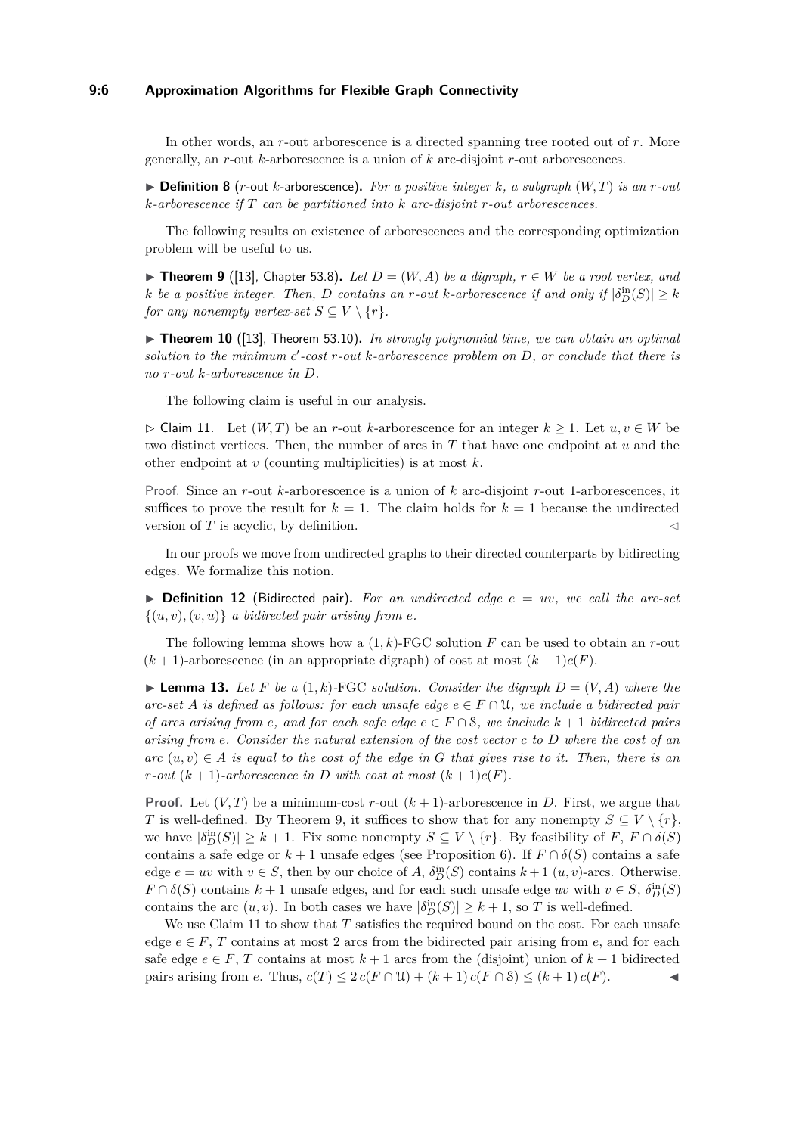## **9:6 Approximation Algorithms for Flexible Graph Connectivity**

In other words, an *r*-out arborescence is a directed spanning tree rooted out of *r*. More generally, an *r*-out *k*-arborescence is a union of *k* arc-disjoint *r*-out arborescences.

 $\triangleright$  **Definition 8** (*r*-out *k*-arborescence). For a positive integer *k*, a subgraph  $(W, T)$  is an *r*-out *k-arborescence if T can be partitioned into k arc-disjoint r-out arborescences.*

The following results on existence of arborescences and the corresponding optimization problem will be useful to us.

<span id="page-5-0"></span>▶ **Theorem 9** ([\[13\]](#page-13-9), Chapter 53.8). *Let*  $D = (W, A)$  *be a digraph,*  $r \in W$  *be a root vertex, and k be a positive integer. Then, D contains an r-out k-arborescence if and only if*  $|\delta_D^{\text{in}}(S)| \geq k$ *for any nonempty vertex-set*  $S \subseteq V \setminus \{r\}$ *.* 

<span id="page-5-3"></span>▶ **Theorem 10** ([\[13\]](#page-13-9), Theorem 53.10). *In strongly polynomial time, we can obtain an optimal solution to the minimum c* ′ *-cost r-out k-arborescence problem on D, or conclude that there is no r-out k-arborescence in D.*

The following claim is useful in our analysis.

<span id="page-5-1"></span>▷ Claim 11. Let (*W, T*) be an *r*-out *k*-arborescence for an integer *k* ≥ 1. Let *u, v* ∈ *W* be two distinct vertices. Then, the number of arcs in *T* that have one endpoint at *u* and the other endpoint at *v* (counting multiplicities) is at most *k*.

Proof. Since an *r*-out *k*-arborescence is a union of *k* arc-disjoint *r*-out 1-arborescences, it suffices to prove the result for  $k = 1$ . The claim holds for  $k = 1$  because the undirected version of  $T$  is acyclic, by definition.

In our proofs we move from undirected graphs to their directed counterparts by bidirecting edges. We formalize this notion.

 $\triangleright$  **Definition 12** (Bidirected pair). For an undirected edge  $e = uv$ , we call the arc-set  $\{(u, v), (v, u)\}\$ a bidirected pair arising from *e*.

The following lemma shows how a (1*, k*)-FGC solution *F* can be used to obtain an *r*-out  $(k+1)$ -arborescence (in an appropriate digraph) of cost at most  $(k+1)c(F)$ .

<span id="page-5-2"></span> $\blacktriangleright$  **Lemma 13.** Let F be a  $(1, k)$ -FGC solution. Consider the digraph  $D = (V, A)$  where the *arc-set A is defined as follows: for each unsafe edge*  $e \in F \cap \mathcal{U}$ , we include a bidirected pair *of arcs arising from e, and for each safe edge*  $e \in F \cap S$ *, we include*  $k + 1$  *bidirected pairs arising from e. Consider the natural extension of the cost vector c to D where the cost of an*  $\alpha$ *arc*  $(u, v) \in A$  *is equal to the cost of the edge in G that gives rise to it. Then, there is an r*-*out*  $(k+1)$ *-arborescence in D with cost at most*  $(k+1)c(F)$ *.* 

**Proof.** Let  $(V, T)$  be a minimum-cost r-out  $(k + 1)$ -arborescence in *D*. First, we argue that *T* is well-defined. By Theorem [9,](#page-5-0) it suffices to show that for any nonempty  $S \subseteq V \setminus \{r\}$ , we have  $|\delta_D^{\text{in}}(S)| \geq k+1$ . Fix some nonempty  $S \subseteq V \setminus \{r\}$ . By feasibility of  $F, F \cap \delta(S)$ contains a safe edge or  $k + 1$  unsafe edges (see Proposition [6\)](#page-4-1). If  $F \cap \delta(S)$  contains a safe edge  $e = uv$  with  $v \in S$ , then by our choice of *A*,  $\delta_D^{\text{in}}(S)$  contains  $k+1$   $(u, v)$ -arcs. Otherwise,  $F \cap \delta(S)$  contains  $k + 1$  unsafe edges, and for each such unsafe edge *uv* with  $v \in S$ ,  $\delta_D^{\text{in}}(S)$ contains the arc  $(u, v)$ . In both cases we have  $|\delta_D^{in}(S)| \geq k + 1$ , so *T* is well-defined.

We use Claim [11](#page-5-1) to show that *T* satisfies the required bound on the cost. For each unsafe edge  $e \in F$ , *T* contains at most 2 arcs from the bidirected pair arising from *e*, and for each safe edge  $e \in F$ , *T* contains at most  $k+1$  arcs from the (disjoint) union of  $k+1$  bidirected pairs arising from *e*. Thus,  $c(T) \leq 2 c(F \cap U) + (k+1) c(F \cap S) \leq (k+1) c(F)$ .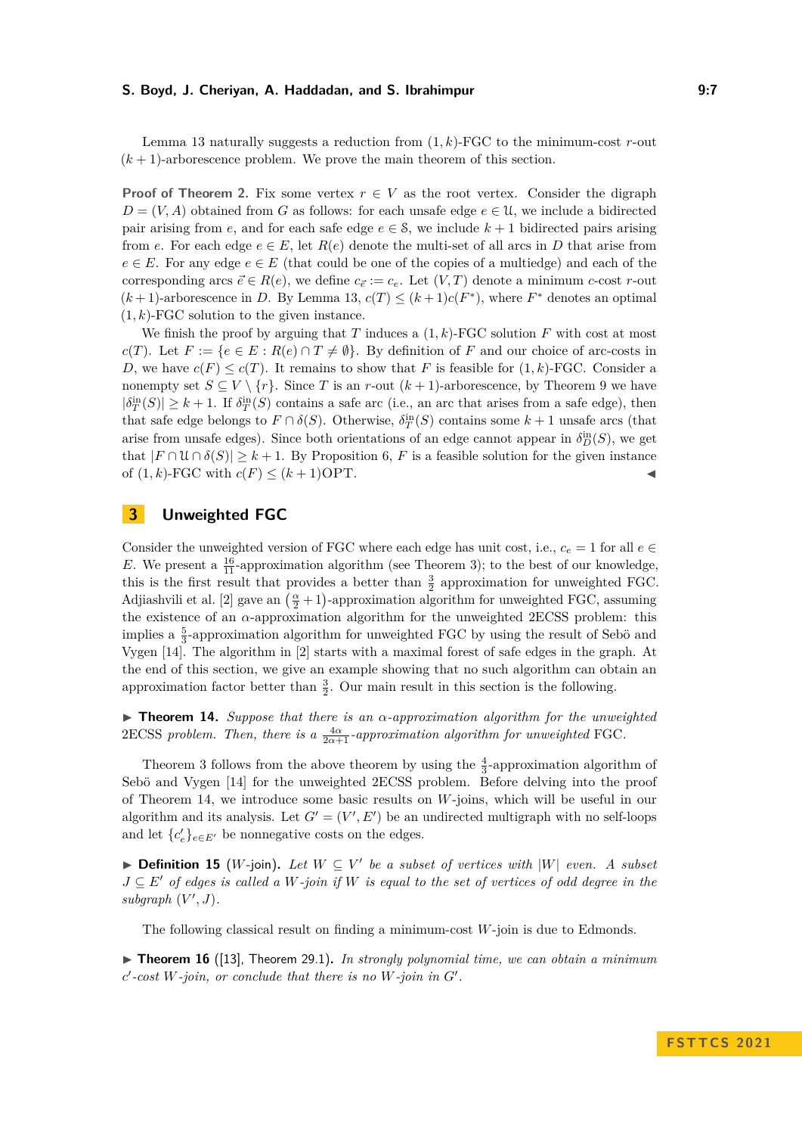Lemma [13](#page-5-2) naturally suggests a reduction from (1*, k*)-FGC to the minimum-cost *r*-out  $(k+1)$ -arborescence problem. We prove the main theorem of this section.

**Proof of Theorem [2.](#page-3-1)** Fix some vertex  $r \in V$  as the root vertex. Consider the digraph  $D = (V, A)$  obtained from *G* as follows: for each unsafe edge  $e \in \mathcal{U}$ , we include a bidirected pair arising from *e*, and for each safe edge  $e \in \mathcal{S}$ , we include  $k + 1$  bidirected pairs arising from *e*. For each edge  $e \in E$ , let  $R(e)$  denote the multi-set of all arcs in *D* that arise from  $e \in E$ . For any edge  $e \in E$  (that could be one of the copies of a multiedge) and each of the corresponding arcs  $\vec{e} \in R(e)$ , we define  $c_{\vec{e}} := c_e$ . Let  $(V, T)$  denote a minimum *c*-cost *r*-out  $(k+1)$ -arborescence in *D*. By Lemma [13,](#page-5-2)  $c(T) \leq (k+1)c(F^*)$ , where  $F^*$  denotes an optimal  $(1, k)$ -FGC solution to the given instance.

We finish the proof by arguing that *T* induces a  $(1, k)$ -FGC solution *F* with cost at most *c*(*T*). Let  $F := \{e \in E : R(e) \cap T \neq \emptyset\}$ . By definition of *F* and our choice of arc-costs in *D*, we have  $c(F) \leq c(T)$ . It remains to show that *F* is feasible for  $(1, k)$ -FGC. Consider a nonempty set  $S \subseteq V \setminus \{r\}$ . Since *T* is an *r*-out  $(k+1)$ -arborescence, by Theorem [9](#page-5-0) we have  $|\delta_T^{\text{in}}(S)| \geq k+1$ . If  $\delta_T^{\text{in}}(S)$  contains a safe arc (i.e., an arc that arises from a safe edge), then that safe edge belongs to  $F \cap \delta(S)$ . Otherwise,  $\delta_T^{\text{in}}(S)$  contains some  $k+1$  unsafe arcs (that arise from unsafe edges). Since both orientations of an edge cannot appear in  $\delta_D^{\text{in}}(S)$ , we get that  $|F \cap \mathcal{U} \cap \delta(S)| \geq k+1$ . By Proposition [6,](#page-4-1) *F* is a feasible solution for the given instance of  $(1, k)$ -FGC with  $c(F) \leq (k+1)$ OPT.

## <span id="page-6-0"></span>**3 Unweighted FGC**

Consider the unweighted version of FGC where each edge has unit cost, i.e.,  $c_e = 1$  for all  $e \in$ *E*. We present a  $\frac{16}{11}$ -approximation algorithm (see Theorem [3\)](#page-3-3); to the best of our knowledge, this is the first result that provides a better than  $\frac{3}{2}$  approximation for unweighted FGC. Adjiashvili et al. [\[2\]](#page-12-1) gave an  $\left(\frac{\alpha}{2} + 1\right)$ -approximation algorithm for unweighted FGC, assuming the existence of an *α*-approximation algorithm for the unweighted 2ECSS problem: this implies a  $\frac{5}{3}$ -approximation algorithm for unweighted FGC by using the result of Sebö and Vygen [\[14\]](#page-13-11). The algorithm in [\[2\]](#page-12-1) starts with a maximal forest of safe edges in the graph. At the end of this section, we give an example showing that no such algorithm can obtain an approximation factor better than  $\frac{3}{2}$ . Our main result in this section is the following.

<span id="page-6-1"></span>▶ **Theorem 14.** *Suppose that there is an α-approximation algorithm for the unweighted*  $2 \text{ECSS problem.}$  *Then, there is a*  $\frac{4\alpha}{2\alpha+1}$ -approximation algorithm for unweighted FGC.

Theorem [3](#page-3-3) follows from the above theorem by using the  $\frac{4}{3}$ -approximation algorithm of Sebö and Vygen [\[14\]](#page-13-11) for the unweighted 2ECSS problem. Before delving into the proof of Theorem [14,](#page-6-1) we introduce some basic results on *W*-joins, which will be useful in our algorithm and its analysis. Let  $G' = (V', E')$  be an undirected multigraph with no self-loops and let  ${c'_e}_{e \in E'}$  be nonnegative costs on the edges.

▶ **Definition 15** (*W*-join). Let  $W ⊆ V'$  be a subset of vertices with |W| even. A subset *J* ⊆ *E*′ *of edges is called a W-join if W is equal to the set of vertices of odd degree in the*  $subgraph (V', J)$ .

The following classical result on finding a minimum-cost *W*-join is due to Edmonds.

<span id="page-6-2"></span>▶ **Theorem 16** ([\[13\]](#page-13-9), Theorem 29.1)**.** *In strongly polynomial time, we can obtain a minimum c* ′ *-cost W-join, or conclude that there is no W-join in G*′ *.*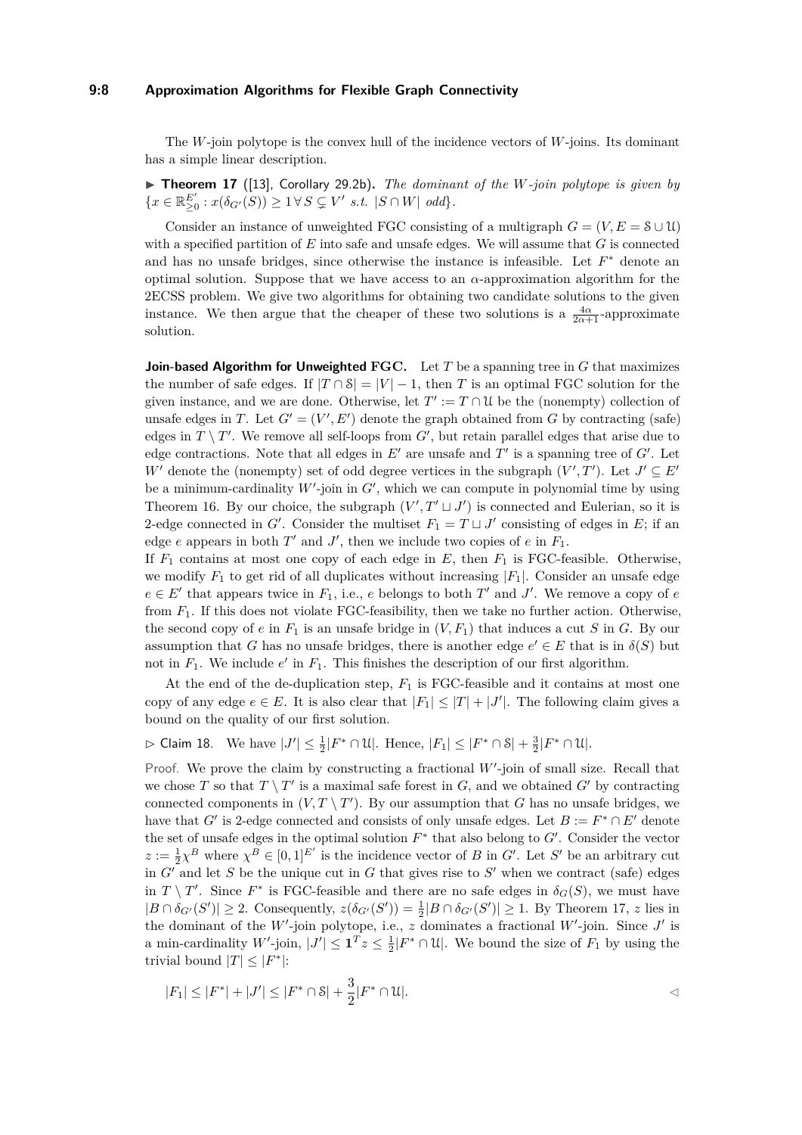#### **9:8 Approximation Algorithms for Flexible Graph Connectivity**

The *W*-join polytope is the convex hull of the incidence vectors of *W*-joins. Its dominant has a simple linear description.

<span id="page-7-0"></span>▶ **Theorem 17** ([\[13\]](#page-13-9), Corollary 29.2b)**.** *The dominant of the W-join polytope is given by*  $\{x \in \mathbb{R}^{E'}_{\geq 0} : x(\delta_{G'}(S)) \geq 1 \forall S \subsetneq V' \text{ s.t. } |S \cap W| \text{ odd}\}.$ 

Consider an instance of unweighted FGC consisting of a multigraph  $G = (V, E = \mathcal{S} \cup \mathcal{U})$ with a specified partition of *E* into safe and unsafe edges. We will assume that *G* is connected and has no unsafe bridges, since otherwise the instance is infeasible. Let  $F^*$  denote an optimal solution. Suppose that we have access to an *α*-approximation algorithm for the 2ECSS problem. We give two algorithms for obtaining two candidate solutions to the given instance. We then argue that the cheaper of these two solutions is a  $\frac{4\alpha}{2\alpha+1}$ -approximate solution.

**Join-based Algorithm for Unweighted FGC.** Let *T* be a spanning tree in *G* that maximizes the number of safe edges. If  $|T \cap S| = |V| - 1$ , then *T* is an optimal FGC solution for the given instance, and we are done. Otherwise, let  $T' := T \cap \mathcal{U}$  be the (nonempty) collection of unsafe edges in *T*. Let  $G' = (V', E')$  denote the graph obtained from *G* by contracting (safe) edges in  $T \setminus T'$ . We remove all self-loops from  $G'$ , but retain parallel edges that arise due to edge contractions. Note that all edges in  $E'$  are unsafe and  $T'$  is a spanning tree of  $G'$ . Let *W*<sup> $\prime$ </sup> denote the (nonempty) set of odd degree vertices in the subgraph  $(V', T')$ . Let  $J' \subseteq E'$ be a minimum-cardinality  $W'$ -join in  $G'$ , which we can compute in polynomial time by using Theorem [16.](#page-6-2) By our choice, the subgraph  $(V', T' \sqcup J')$  is connected and Eulerian, so it is 2-edge connected in *G*'. Consider the multiset  $F_1 = T \sqcup J'$  consisting of edges in *E*; if an edge  $e$  appears in both  $T'$  and  $J'$ , then we include two copies of  $e$  in  $F_1$ .

If  $F_1$  contains at most one copy of each edge in  $E$ , then  $F_1$  is FGC-feasible. Otherwise, we modify  $F_1$  to get rid of all duplicates without increasing  $|F_1|$ . Consider an unsafe edge  $e \in E'$  that appears twice in  $F_1$ , i.e., *e* belongs to both  $T'$  and  $J'$ . We remove a copy of *e* from *F*1. If this does not violate FGC-feasibility, then we take no further action. Otherwise, the second copy of  $e$  in  $F_1$  is an unsafe bridge in  $(V, F_1)$  that induces a cut *S* in *G*. By our assumption that *G* has no unsafe bridges, there is another edge  $e' \in E$  that is in  $\delta(S)$  but not in  $F_1$ . We include  $e'$  in  $F_1$ . This finishes the description of our first algorithm.

At the end of the de-duplication step, *F*<sup>1</sup> is FGC-feasible and it contains at most one copy of any edge  $e \in E$ . It is also clear that  $|F_1| \leq |T| + |J'|$ . The following claim gives a bound on the quality of our first solution.

<span id="page-7-1"></span> $\triangleright$  Claim 18. We have  $|J'| \leq \frac{1}{2}|F^* \cap \mathcal{U}|$ . Hence,  $|F_1| \leq |F^* \cap \mathcal{S}| + \frac{3}{2}|F^* \cap \mathcal{U}|$ .

Proof. We prove the claim by constructing a fractional W'-join of small size. Recall that we chose *T* so that  $T \setminus T'$  is a maximal safe forest in *G*, and we obtained *G'* by contracting connected components in  $(V, T \setminus T')$ . By our assumption that *G* has no unsafe bridges, we have that *G*' is 2-edge connected and consists of only unsafe edges. Let  $B := F^* \cap E'$  denote the set of unsafe edges in the optimal solution  $F^*$  that also belong to  $G'$ . Consider the vector  $z := \frac{1}{2}\chi^B$  where  $\chi^B \in [0,1]^{E'}$  is the incidence vector of *B* in *G*'. Let *S*' be an arbitrary cut in  $G'$  and let  $S$  be the unique cut in  $G$  that gives rise to  $S'$  when we contract (safe) edges in *T* \ *T'*. Since  $F^*$  is FGC-feasible and there are no safe edges in  $\delta_G(S)$ , we must have  $|B \cap \delta_{G'}(S')| \geq 2$ . Consequently,  $z(\delta_{G'}(S')) = \frac{1}{2}|B \cap \delta_{G'}(S')| \geq 1$ . By Theorem [17,](#page-7-0) *z* lies in the dominant of the W'-join polytope, i.e.,  $z$  dominates a fractional W'-join. Since  $J'$  is a min-cardinality  $W'$ -join,  $|J'| \leq \mathbf{1}^T z \leq \frac{1}{2}|F^* \cap \mathcal{U}|$ . We bound the size of  $F_1$  by using the trivial bound  $|T| \leq |F^*|$ :

$$
|F_1| \le |F^*| + |J'| \le |F^* \cap \mathcal{S}| + \frac{3}{2}|F^* \cap \mathcal{U}|.
$$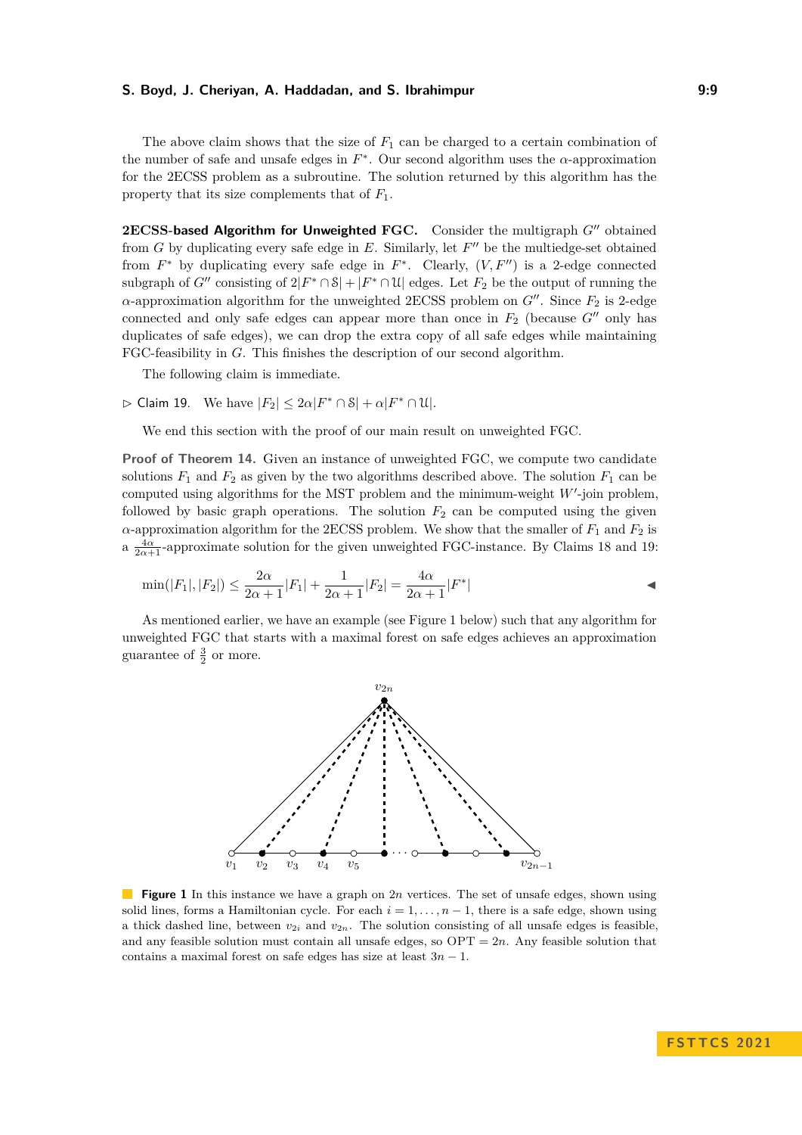The above claim shows that the size of  $F_1$  can be charged to a certain combination of the number of safe and unsafe edges in  $F^*$ . Our second algorithm uses the  $\alpha$ -approximation for the 2ECSS problem as a subroutine. The solution returned by this algorithm has the property that its size complements that of *F*1.

**2ECSS-based Algorithm for Unweighted FGC.** Consider the multigraph *G*′′ obtained from  $G$  by duplicating every safe edge in  $E$ . Similarly, let  $F''$  be the multiedge-set obtained from  $F^*$  by duplicating every safe edge in  $F^*$ . Clearly,  $(V, F'')$  is a 2-edge connected subgraph of  $G''$  consisting of  $2|F^* \cap \mathcal{S}| + |F^* \cap \mathcal{U}|$  edges. Let  $F_2$  be the output of running the *α*-approximation algorithm for the unweighted 2ECSS problem on *G*′′. Since *F*<sup>2</sup> is 2-edge connected and only safe edges can appear more than once in  $F_2$  (because  $G''$  only has duplicates of safe edges), we can drop the extra copy of all safe edges while maintaining FGC-feasibility in *G*. This finishes the description of our second algorithm.

The following claim is immediate.

<span id="page-8-0"></span> $\rhd$  Claim 19. We have  $|F_2| \leq 2\alpha |F^* \cap \mathcal{S}| + \alpha |F^* \cap \mathcal{U}|.$ 

We end this section with the proof of our main result on unweighted FGC.

**Proof of Theorem [14.](#page-6-1)** Given an instance of unweighted FGC, we compute two candidate solutions  $F_1$  and  $F_2$  as given by the two algorithms described above. The solution  $F_1$  can be computed using algorithms for the MST problem and the minimum-weight *W*′ -join problem, followed by basic graph operations. The solution  $F_2$  can be computed using the given *α*-approximation algorithm for the 2ECSS problem. We show that the smaller of  $F_1$  and  $F_2$  is a  $\frac{4\alpha}{2\alpha+1}$ -approximate solution for the given unweighted FGC-instance. By Claims [18](#page-7-1) and [19:](#page-8-0)

$$
\min(|F_1|, |F_2|) \le \frac{2\alpha}{2\alpha + 1}|F_1| + \frac{1}{2\alpha + 1}|F_2| = \frac{4\alpha}{2\alpha + 1}|F^*|
$$

<span id="page-8-1"></span>As mentioned earlier, we have an example (see Figure [1](#page-8-1) below) such that any algorithm for unweighted FGC that starts with a maximal forest on safe edges achieves an approximation guarantee of  $\frac{3}{2}$  or more.



**Figure 1** In this instance we have a graph on 2*n* vertices. The set of unsafe edges, shown using solid lines, forms a Hamiltonian cycle. For each  $i = 1, \ldots, n-1$ , there is a safe edge, shown using a thick dashed line, between  $v_{2i}$  and  $v_{2n}$ . The solution consisting of all unsafe edges is feasible, and any feasible solution must contain all unsafe edges, so  $\text{OPT} = 2n$ . Any feasible solution that contains a maximal forest on safe edges has size at least 3*n* − 1.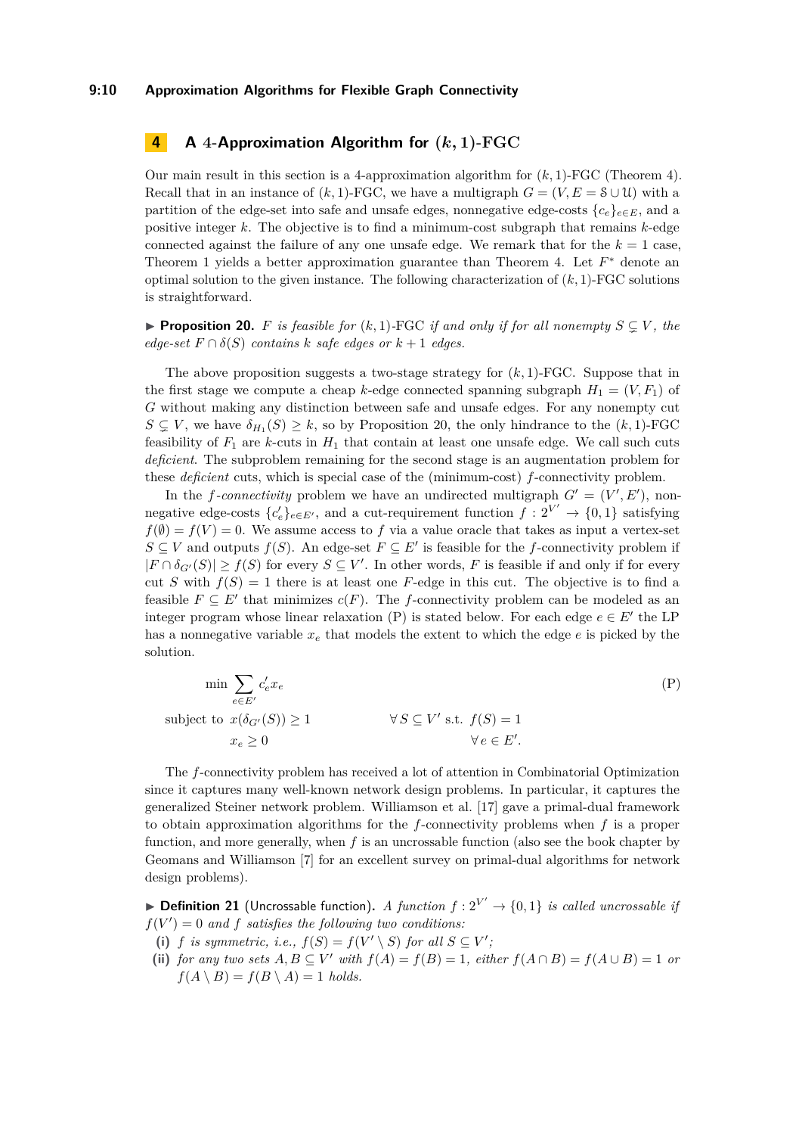## **9:10 Approximation Algorithms for Flexible Graph Connectivity**

## <span id="page-9-0"></span>**4 A 4-Approximation Algorithm for (***k,* **1)-FGC**

Our main result in this section is a 4-approximation algorithm for (*k,* 1)-FGC (Theorem [4\)](#page-3-2). Recall that in an instance of  $(k, 1)$ -FGC, we have a multigraph  $G = (V, E = \mathcal{S} \cup \mathcal{U})$  with a partition of the edge-set into safe and unsafe edges, nonnegative edge-costs  ${c_e}_{e \in E}$ , and a positive integer *k*. The objective is to find a minimum-cost subgraph that remains *k*-edge connected against the failure of any one unsafe edge. We remark that for the  $k = 1$  case, Theorem [1](#page-3-0) yields a better approximation guarantee than Theorem [4.](#page-3-2) Let *F* <sup>∗</sup> denote an optimal solution to the given instance. The following characterization of (*k,* 1)-FGC solutions is straightforward.

<span id="page-9-1"></span>▶ **Proposition 20.** *F* is feasible for  $(k,1)$ -FGC if and only if for all nonempty  $S \subseteq V$ , the  $edge-set \ F \cap \delta(S)$  *contains k safe edges or*  $k + 1$  *edges.* 

The above proposition suggests a two-stage strategy for  $(k, 1)$ -FGC. Suppose that in the first stage we compute a cheap *k*-edge connected spanning subgraph  $H_1 = (V, F_1)$  of *G* without making any distinction between safe and unsafe edges. For any nonempty cut  $S \subsetneq V$ , we have  $\delta_{H_1}(S) \geq k$ , so by Proposition [20,](#page-9-1) the only hindrance to the  $(k, 1)$ -FGC feasibility of  $F_1$  are *k*-cuts in  $H_1$  that contain at least one unsafe edge. We call such cuts *deficient*. The subproblem remaining for the second stage is an augmentation problem for these *deficient* cuts, which is special case of the (minimum-cost) *f*-connectivity problem.

In the *f*-connectivity problem we have an undirected multigraph  $G' = (V', E')$ , nonnegative edge-costs  ${c'_e}_{e \in E'}$ , and a cut-requirement function  $f: 2^{V'} \to {0, 1}$  satisfying  $f(\emptyset) = f(V) = 0$ . We assume access to *f* via a value oracle that takes as input a vertex-set *S* ⊆ *V* and outputs *f*(*S*). An edge-set *F* ⊆ *E'* is feasible for the *f*-connectivity problem if  $|F \cap \delta_{G'}(S)| \ge f(S)$  for every  $S \subseteq V'$ . In other words, F is feasible if and only if for every cut *S* with  $f(S) = 1$  there is at least one *F*-edge in this cut. The objective is to find a feasible  $F \subseteq E'$  that minimizes  $c(F)$ . The *f*-connectivity problem can be modeled as an integer program whose linear relaxation  $(P)$  is stated below. For each edge  $e \in E'$  the LP has a nonnegative variable  $x_e$  that models the extent to which the edge  $e$  is picked by the solution.

<span id="page-9-2"></span>
$$
\min \sum_{e \in E'} c'_e x_e
$$
\n
$$
\text{subject to } x(\delta_{G'}(S)) \ge 1 \qquad \forall S \subseteq V' \text{ s.t. } f(S) = 1
$$
\n
$$
x_e \ge 0 \qquad \forall e \in E'.
$$
\n
$$
(P)
$$

The *f*-connectivity problem has received a lot of attention in Combinatorial Optimization since it captures many well-known network design problems. In particular, it captures the generalized Steiner network problem. Williamson et al. [\[17\]](#page-13-10) gave a primal-dual framework to obtain approximation algorithms for the *f*-connectivity problems when *f* is a proper function, and more generally, when *f* is an uncrossable function (also see the book chapter by Geomans and Williamson [\[7\]](#page-13-12) for an excellent survey on primal-dual algorithms for network design problems).

<span id="page-9-3"></span>▶ **Definition 21** (Uncrossable function). *A function f* :  $2^{V'}$  → {0,1} *is called uncrossable if*  $f(V') = 0$  *and*  $f$  *satisfies the following two conditions:* 

- (i) *f is symmetric, i.e.,*  $f(S) = f(V' \setminus S)$  *for all*  $S \subseteq V'$ ;
- (ii) *for any two sets*  $A, B \subseteq V'$  *with*  $f(A) = f(B) = 1$ *, either*  $f(A \cap B) = f(A \cup B) = 1$  *or*  $f(A \setminus B) = f(B \setminus A) = 1$  *holds.*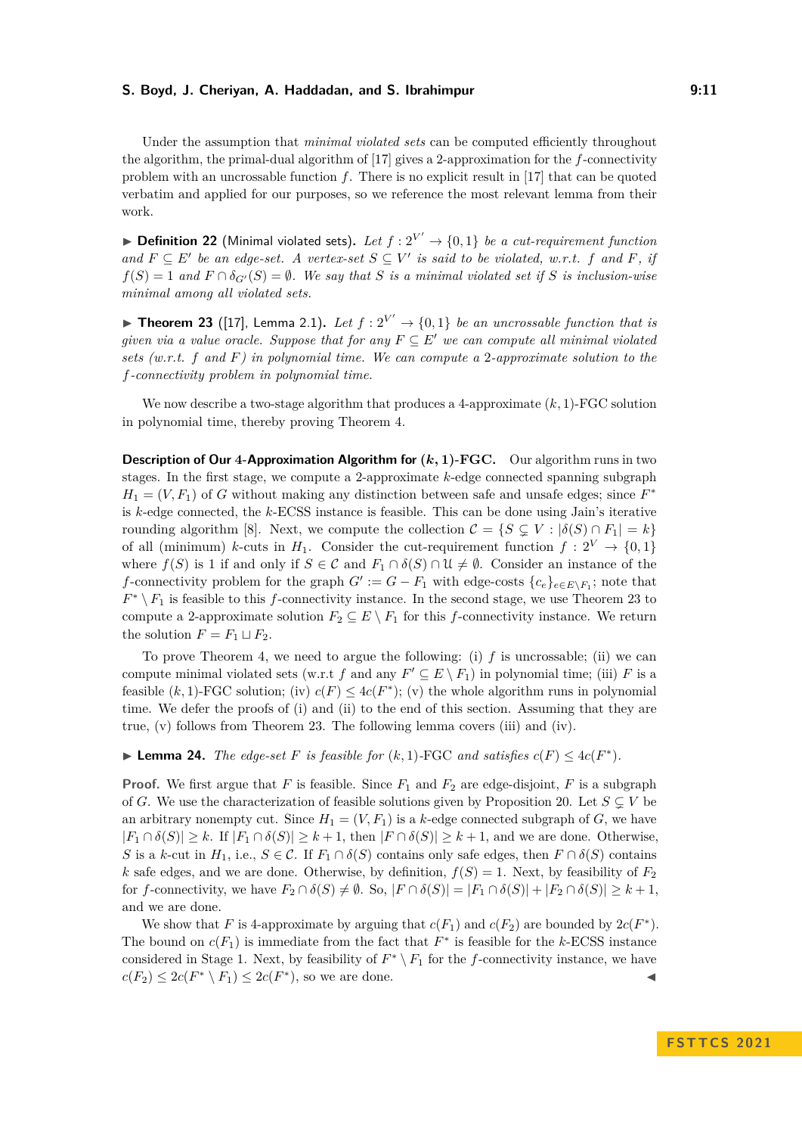Under the assumption that *minimal violated sets* can be computed efficiently throughout the algorithm, the primal-dual algorithm of [\[17\]](#page-13-10) gives a 2-approximation for the *f*-connectivity problem with an uncrossable function *f*. There is no explicit result in [\[17\]](#page-13-10) that can be quoted verbatim and applied for our purposes, so we reference the most relevant lemma from their work.

▶ **Definition 22** (Minimal violated sets). Let  $f : 2^{V'} \rightarrow \{0, 1\}$  be a cut-requirement function *and*  $F ⊆ E'$  *be an edge-set.* A vertex-set  $S ⊆ V'$  *is said to be violated, w.r.t.*  $f$  *and*  $F$ *, if*  $f(S) = 1$  *and*  $F \cap \delta_{G'}(S) = \emptyset$ *. We say that S is a minimal violated set if S is inclusion-wise minimal among all violated sets.*

<span id="page-10-0"></span>▶ **Theorem 23** ([\[17\]](#page-13-10), Lemma 2.1). Let  $f : 2^{V'} \rightarrow \{0, 1\}$  be an uncrossable function that is *given via a value oracle. Suppose that for any*  $F \subseteq E'$  *we can compute all minimal violated sets (w.r.t. f and F) in polynomial time. We can compute a* 2*-approximate solution to the f-connectivity problem in polynomial time.*

We now describe a two-stage algorithm that produces a 4-approximate (*k,* 1)-FGC solution in polynomial time, thereby proving Theorem [4.](#page-3-2)

**Description of Our 4-Approximation Algorithm for (***k,* **1)-FGC.** Our algorithm runs in two stages. In the first stage, we compute a 2-approximate *k*-edge connected spanning subgraph  $H_1 = (V, F_1)$  of *G* without making any distinction between safe and unsafe edges; since  $F^*$ is *k*-edge connected, the *k*-ECSS instance is feasible. This can be done using Jain's iterative rounding algorithm [\[8\]](#page-13-4). Next, we compute the collection  $\mathcal{C} = \{S \subseteq V : |\delta(S) \cap F_1| = k\}$ of all (minimum) *k*-cuts in  $H_1$ . Consider the cut-requirement function  $f: 2^V \to \{0,1\}$ where  $f(S)$  is 1 if and only if  $S \in \mathcal{C}$  and  $F_1 \cap \delta(S) \cap \mathcal{U} \neq \emptyset$ . Consider an instance of the *f*-connectivity problem for the graph  $G' := G - F_1$  with edge-costs  $\{c_e\}_{e \in E \setminus F_1}$ ; note that  $F^* \setminus F_1$  is feasible to this *f*-connectivity instance. In the second stage, we use Theorem [23](#page-10-0) to compute a 2-approximate solution  $F_2 \subseteq E \setminus F_1$  for this *f*-connectivity instance. We return the solution  $F = F_1 \sqcup F_2$ .

To prove Theorem [4,](#page-3-2) we need to argue the following: (i)  $f$  is uncrossable; (ii) we can compute minimal violated sets (w.r.t *f* and any  $F' \subseteq E \setminus F_1$ ) in polynomial time; (iii) *F* is a feasible  $(k, 1)$ -FGC solution; (iv)  $c(F) \leq 4c(F^*)$ ; (v) the whole algorithm runs in polynomial time. We defer the proofs of (i) and (ii) to the end of this section. Assuming that they are true, (v) follows from Theorem [23.](#page-10-0) The following lemma covers (iii) and (iv).

▶ **Lemma 24.** *The edge-set F is feasible for*  $(k, 1)$ -FGC *and satisfies*  $c(F) ≤ 4c(F^*)$ *.* 

**Proof.** We first argue that *F* is feasible. Since  $F_1$  and  $F_2$  are edge-disjoint, *F* is a subgraph of *G*. We use the characterization of feasible solutions given by Proposition [20.](#page-9-1) Let  $S \subsetneq V$  be an arbitrary nonempty cut. Since  $H_1 = (V, F_1)$  is a *k*-edge connected subgraph of *G*, we have  $|F_1 \cap \delta(S)| \geq k$ . If  $|F_1 \cap \delta(S)| \geq k+1$ , then  $|F \cap \delta(S)| \geq k+1$ , and we are done. Otherwise, *S* is a *k*-cut in *H*<sub>1</sub>, i.e., *S* ∈ C. If *F*<sub>1</sub> ∩  $\delta(S)$  contains only safe edges, then *F* ∩  $\delta(S)$  contains *k* safe edges, and we are done. Otherwise, by definition,  $f(S) = 1$ . Next, by feasibility of  $F_2$ for *f*-connectivity, we have  $F_2 \cap \delta(S) \neq \emptyset$ . So,  $|F \cap \delta(S)| = |F_1 \cap \delta(S)| + |F_2 \cap \delta(S)| \geq k + 1$ , and we are done.

We show that *F* is 4-approximate by arguing that  $c(F_1)$  and  $c(F_2)$  are bounded by  $2c(F^*)$ . The bound on  $c(F_1)$  is immediate from the fact that  $F^*$  is feasible for the *k*-ECSS instance considered in Stage 1. Next, by feasibility of  $F^* \setminus F_1$  for the *f*-connectivity instance, we have  $c(F_2) \leq 2c(F^* \setminus F_1) \leq 2c(F^*)$ , so we are done.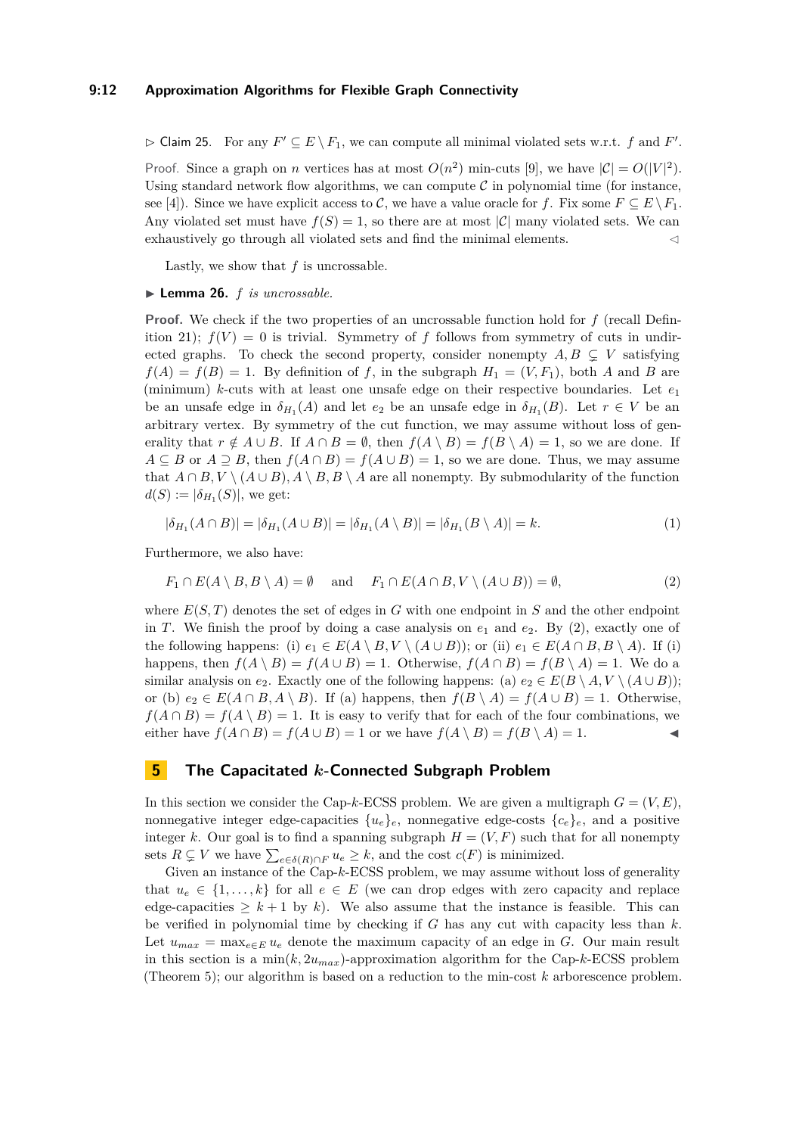## **9:12 Approximation Algorithms for Flexible Graph Connectivity**

 $\triangleright$  Claim 25. For any  $F' \subseteq E \setminus F_1$ , we can compute all minimal violated sets w.r.t. *f* and *F'*. Proof. Since a graph on *n* vertices has at most  $O(n^2)$  min-cuts [\[9\]](#page-13-5), we have  $|C| = O(|V|^2)$ . Using standard network flow algorithms, we can compute  $\mathcal C$  in polynomial time (for instance, see [\[4\]](#page-13-13)). Since we have explicit access to C, we have a value oracle for f. Fix some  $F \subseteq E \backslash F_1$ . Any violated set must have  $f(S) = 1$ , so there are at most  $|\mathcal{C}|$  many violated sets. We can exhaustively go through all violated sets and find the minimal elements.  $\lhd$ 

Lastly, we show that *f* is uncrossable.

#### ▶ **Lemma 26.** *f is uncrossable.*

**Proof.** We check if the two properties of an uncrossable function hold for *f* (recall Defin-ition [21\)](#page-9-3);  $f(V) = 0$  is trivial. Symmetry of f follows from symmetry of cuts in undirected graphs. To check the second property, consider nonempty  $A, B \subseteq V$  satisfying  $f(A) = f(B) = 1$ . By definition of *f*, in the subgraph  $H_1 = (V, F_1)$ , both *A* and *B* are (minimum) *k*-cuts with at least one unsafe edge on their respective boundaries. Let *e*<sup>1</sup> be an unsafe edge in  $\delta_{H_1}(A)$  and let  $e_2$  be an unsafe edge in  $\delta_{H_1}(B)$ . Let  $r \in V$  be an arbitrary vertex. By symmetry of the cut function, we may assume without loss of generality that  $r \notin A \cup B$ . If  $A \cap B = \emptyset$ , then  $f(A \setminus B) = f(B \setminus A) = 1$ , so we are done. If *A* ⊆ *B* or *A* ≥ *B*, then  $f(A \cap B) = f(A \cup B) = 1$ , so we are done. Thus, we may assume that  $A \cap B$ ,  $V \setminus (A \cup B)$ ,  $A \setminus B$ ,  $B \setminus A$  are all nonempty. By submodularity of the function  $d(S) := |\delta_{H_1}(S)|$ , we get:

<span id="page-11-1"></span>
$$
|\delta_{H_1}(A \cap B)| = |\delta_{H_1}(A \cup B)| = |\delta_{H_1}(A \setminus B)| = |\delta_{H_1}(B \setminus A)| = k.
$$
\n<sup>(1)</sup>

Furthermore, we also have:

$$
F_1 \cap E(A \setminus B, B \setminus A) = \emptyset \quad \text{and} \quad F_1 \cap E(A \cap B, V \setminus (A \cup B)) = \emptyset,
$$
\n<sup>(2)</sup>

where  $E(S, T)$  denotes the set of edges in  $G$  with one endpoint in  $S$  and the other endpoint in *T*. We finish the proof by doing a case analysis on  $e_1$  and  $e_2$ . By [\(2\)](#page-11-1), exactly one of the following happens: (i)  $e_1 \in E(A \setminus B, V \setminus (A \cup B))$ ; or (ii)  $e_1 \in E(A \cap B, B \setminus A)$ . If (i) happens, then  $f(A \setminus B) = f(A \cup B) = 1$ . Otherwise,  $f(A \cap B) = f(B \setminus A) = 1$ . We do a similar analysis on *e*<sub>2</sub>. Exactly one of the following happens: (a)  $e_2 \in E(B \setminus A, V \setminus (A \cup B))$ ; or (b)  $e_2 \in E(A \cap B, A \setminus B)$ . If (a) happens, then  $f(B \setminus A) = f(A \cup B) = 1$ . Otherwise,  $f(A \cap B) = f(A \setminus B) = 1$ . It is easy to verify that for each of the four combinations, we either have  $f(A \cap B) = f(A \cup B) = 1$  or we have  $f(A \setminus B) = f(B \setminus A) = 1$ .

## <span id="page-11-0"></span>**5 The Capacitated** *k***-Connected Subgraph Problem**

In this section we consider the Cap-*k*-ECSS problem. We are given a multigraph  $G = (V, E)$ , nonnegative integer edge-capacities  $\{u_e\}_e$ , nonnegative edge-costs  $\{c_e\}_e$ , and a positive integer *k*. Our goal is to find a spanning subgraph  $H = (V, F)$  such that for all nonempty sets  $R \subsetneq V$  we have  $\sum_{e \in \delta(R) \cap F} u_e \geq k$ , and the cost  $c(F)$  is minimized.

Given an instance of the Cap-*k*-ECSS problem, we may assume without loss of generality that  $u_e \in \{1, \ldots, k\}$  for all  $e \in E$  (we can drop edges with zero capacity and replace edge-capacities  $\geq k+1$  by k). We also assume that the instance is feasible. This can be verified in polynomial time by checking if *G* has any cut with capacity less than *k*. Let  $u_{max} = \max_{e \in E} u_e$  denote the maximum capacity of an edge in *G*. Our main result in this section is a  $\min(k, 2u_{max})$ -approximation algorithm for the Cap- $k$ -ECSS problem (Theorem [5\)](#page-4-0); our algorithm is based on a reduction to the min-cost *k* arborescence problem.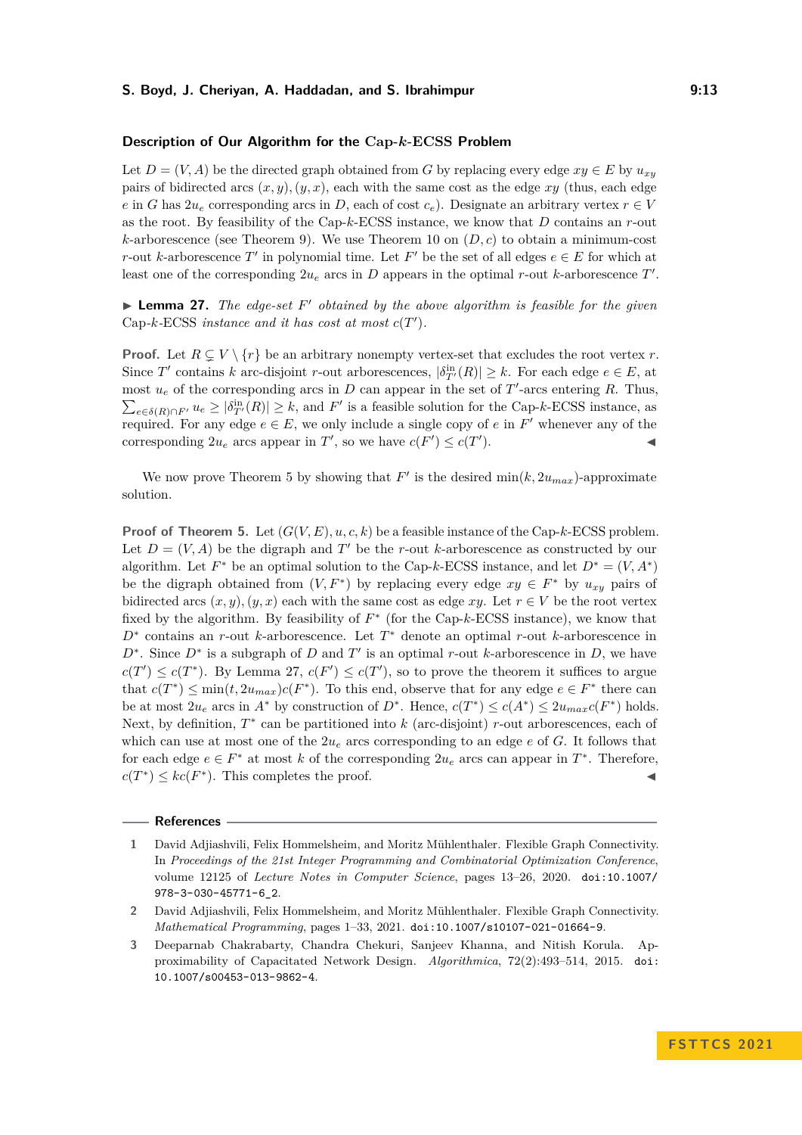#### **Description of Our Algorithm for the Cap-***k***-ECSS Problem**

Let  $D = (V, A)$  be the directed graph obtained from *G* by replacing every edge  $xy \in E$  by  $u_{xy}$ pairs of bidirected arcs  $(x, y)$ *,* $(y, x)$ *,* each with the same cost as the edge xy (thus, each edge *e* in *G* has  $2u_e$  corresponding arcs in *D*, each of cost  $c_e$ ). Designate an arbitrary vertex  $r \in V$ as the root. By feasibility of the Cap-*k*-ECSS instance, we know that *D* contains an *r*-out  $k$ -arborescence (see Theorem [9\)](#page-5-0). We use Theorem [10](#page-5-3) on  $(D, c)$  to obtain a minimum-cost *r*-out *k*-arborescence *T*<sup>'</sup> in polynomial time. Let *F*<sup>'</sup> be the set of all edges  $e \in E$  for which at least one of the corresponding  $2u_e$  arcs in *D* appears in the optimal *r*-out *k*-arborescence *T'*.

<span id="page-12-3"></span>▶ **Lemma 27.** *The edge-set*  $F'$  *obtained by the above algorithm is feasible for the given* Cap<sub>*-k*</sub>-ECSS *instance and it has cost at most*  $c(T')$ *.* 

**Proof.** Let  $R \subsetneq V \setminus \{r\}$  be an arbitrary nonempty vertex-set that excludes the root vertex *r*. Since *T*' contains *k* arc-disjoint *r*-out arborescences,  $|\delta_{T'}^{\text{in}}(R)| \geq k$ . For each edge  $e \in E$ , at most  $u_e$  of the corresponding arcs in *D* can appear in the set of *T*'-arcs entering *R*. Thus,  $\sum_{e \in \delta(R) \cap F'} u_e \geq |\delta^{\text{in}}_{T'}(R)| \geq k$ , and  $F'$  is a feasible solution for the Cap-*k*-ECSS instance, as required. For any edge  $e \in E$ , we only include a single copy of  $e$  in  $F'$  whenever any of the corresponding  $2u_e$  arcs appear in  $T'$ , so we have  $c(F') \leq c(T')$  $\blacksquare$ ).

We now prove Theorem [5](#page-4-0) by showing that  $F'$  is the desired  $\min(k, 2u_{max})$ -approximate solution.

**Proof of Theorem [5.](#page-4-0)** Let  $(G(V, E), u, c, k)$  be a feasible instance of the Cap-*k*-ECSS problem. Let  $D = (V, A)$  be the digraph and T' be the r-out *k*-arborescence as constructed by our algorithm. Let  $F^*$  be an optimal solution to the Cap-k-ECSS instance, and let  $D^* = (V, A^*)$ be the digraph obtained from  $(V, F^*)$  by replacing every edge  $xy \in F^*$  by  $u_{xy}$  pairs of bidirected arcs  $(x, y)$ ,  $(y, x)$  each with the same cost as edge xy. Let  $r \in V$  be the root vertex fixed by the algorithm. By feasibility of  $F^*$  (for the Cap- $k$ -ECSS instance), we know that *D*<sup>∗</sup> contains an *r*-out *k*-arborescence. Let *T* <sup>∗</sup> denote an optimal *r*-out *k*-arborescence in  $D^*$ . Since  $D^*$  is a subgraph of *D* and *T*<sup>'</sup> is an optimal *r*-out *k*-arborescence in *D*, we have  $c(T') \leq c(T^*)$ . By Lemma [27,](#page-12-3)  $c(F') \leq c(T')$ , so to prove the theorem it suffices to argue that  $c(T^*) \le \min(t, 2u_{max})c(F^*)$ . To this end, observe that for any edge  $e \in F^*$  there can be at most  $2u_e$  arcs in  $A^*$  by construction of  $D^*$ . Hence,  $c(T^*) \leq c(A^*) \leq 2u_{max}c(F^*)$  holds. Next, by definition,  $T^*$  can be partitioned into *k* (arc-disjoint) *r*-out arborescences, each of which can use at most one of the  $2u_e$  arcs corresponding to an edge  $e$  of  $G$ . It follows that for each edge  $e \in F^*$  at most k of the corresponding  $2u_e$  arcs can appear in  $T^*$ . Therefore,  $c(T^*) \leq kc(F^*)$ . This completes the proof.

**References**

<span id="page-12-0"></span>**<sup>1</sup>** David Adjiashvili, Felix Hommelsheim, and Moritz Mühlenthaler. Flexible Graph Connectivity. In *Proceedings of the 21st Integer Programming and Combinatorial Optimization Conference*, volume 12125 of *Lecture Notes in Computer Science*, pages 13–26, 2020. [doi:10.1007/](https://doi.org/10.1007/978-3-030-45771-6_2) [978-3-030-45771-6\\_2](https://doi.org/10.1007/978-3-030-45771-6_2).

<span id="page-12-1"></span>**<sup>2</sup>** David Adjiashvili, Felix Hommelsheim, and Moritz Mühlenthaler. Flexible Graph Connectivity. *Mathematical Programming*, pages 1–33, 2021. [doi:10.1007/s10107-021-01664-9](https://doi.org/10.1007/s10107-021-01664-9).

<span id="page-12-2"></span>**<sup>3</sup>** Deeparnab Chakrabarty, Chandra Chekuri, Sanjeev Khanna, and Nitish Korula. Approximability of Capacitated Network Design. *Algorithmica*, 72(2):493–514, 2015. [doi:](https://doi.org/10.1007/s00453-013-9862-4) [10.1007/s00453-013-9862-4](https://doi.org/10.1007/s00453-013-9862-4).